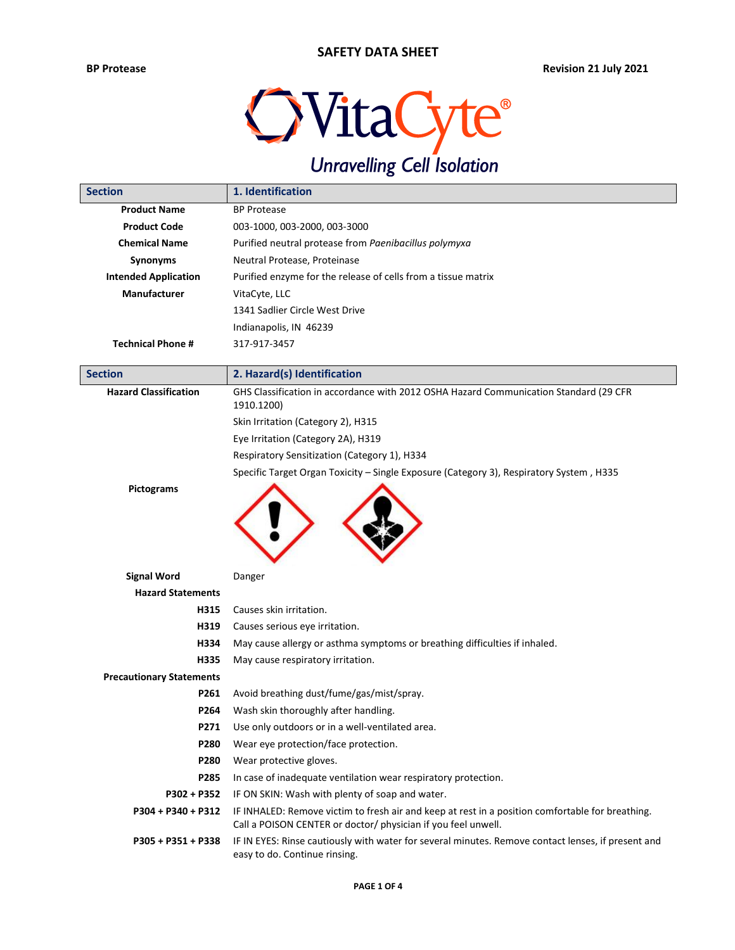

| <b>Section</b>                  | 1. Identification                                                                                                                                                 |  |  |  |
|---------------------------------|-------------------------------------------------------------------------------------------------------------------------------------------------------------------|--|--|--|
| <b>Product Name</b>             | <b>BP Protease</b>                                                                                                                                                |  |  |  |
| <b>Product Code</b>             | 003-1000, 003-2000, 003-3000                                                                                                                                      |  |  |  |
| <b>Chemical Name</b>            | Purified neutral protease from Paenibacillus polymyxa                                                                                                             |  |  |  |
| Synonyms                        | Neutral Protease, Proteinase                                                                                                                                      |  |  |  |
| <b>Intended Application</b>     | Purified enzyme for the release of cells from a tissue matrix                                                                                                     |  |  |  |
| <b>Manufacturer</b>             | VitaCyte, LLC                                                                                                                                                     |  |  |  |
|                                 | 1341 Sadlier Circle West Drive                                                                                                                                    |  |  |  |
|                                 | Indianapolis, IN 46239                                                                                                                                            |  |  |  |
| <b>Technical Phone #</b>        | 317-917-3457                                                                                                                                                      |  |  |  |
| <b>Section</b>                  | 2. Hazard(s) Identification                                                                                                                                       |  |  |  |
| <b>Hazard Classification</b>    | GHS Classification in accordance with 2012 OSHA Hazard Communication Standard (29 CFR                                                                             |  |  |  |
|                                 | 1910.1200)                                                                                                                                                        |  |  |  |
|                                 | Skin Irritation (Category 2), H315                                                                                                                                |  |  |  |
|                                 | Eye Irritation (Category 2A), H319                                                                                                                                |  |  |  |
|                                 | Respiratory Sensitization (Category 1), H334                                                                                                                      |  |  |  |
|                                 | Specific Target Organ Toxicity - Single Exposure (Category 3), Respiratory System, H335                                                                           |  |  |  |
| Pictograms                      |                                                                                                                                                                   |  |  |  |
| <b>Signal Word</b>              | Danger                                                                                                                                                            |  |  |  |
| <b>Hazard Statements</b>        |                                                                                                                                                                   |  |  |  |
| H315                            | Causes skin irritation.                                                                                                                                           |  |  |  |
| H319                            | Causes serious eye irritation.                                                                                                                                    |  |  |  |
| H334                            | May cause allergy or asthma symptoms or breathing difficulties if inhaled.                                                                                        |  |  |  |
| H335                            | May cause respiratory irritation.                                                                                                                                 |  |  |  |
| <b>Precautionary Statements</b> |                                                                                                                                                                   |  |  |  |
| P261                            | Avoid breathing dust/fume/gas/mist/spray.                                                                                                                         |  |  |  |
| P264                            | Wash skin thoroughly after handling.                                                                                                                              |  |  |  |
| P271                            | Use only outdoors or in a well-ventilated area.                                                                                                                   |  |  |  |
| P280                            | Wear eye protection/face protection.                                                                                                                              |  |  |  |
| P280                            | Wear protective gloves.                                                                                                                                           |  |  |  |
| P285                            | In case of inadequate ventilation wear respiratory protection.                                                                                                    |  |  |  |
| P302 + P352                     | IF ON SKIN: Wash with plenty of soap and water.                                                                                                                   |  |  |  |
| P304 + P340 + P312              | IF INHALED: Remove victim to fresh air and keep at rest in a position comfortable for breathing.<br>Call a POISON CENTER or doctor/ physician if you feel unwell. |  |  |  |
| P305 + P351 + P338              | IF IN EYES: Rinse cautiously with water for several minutes. Remove contact lenses, if present and<br>easy to do. Continue rinsing.                               |  |  |  |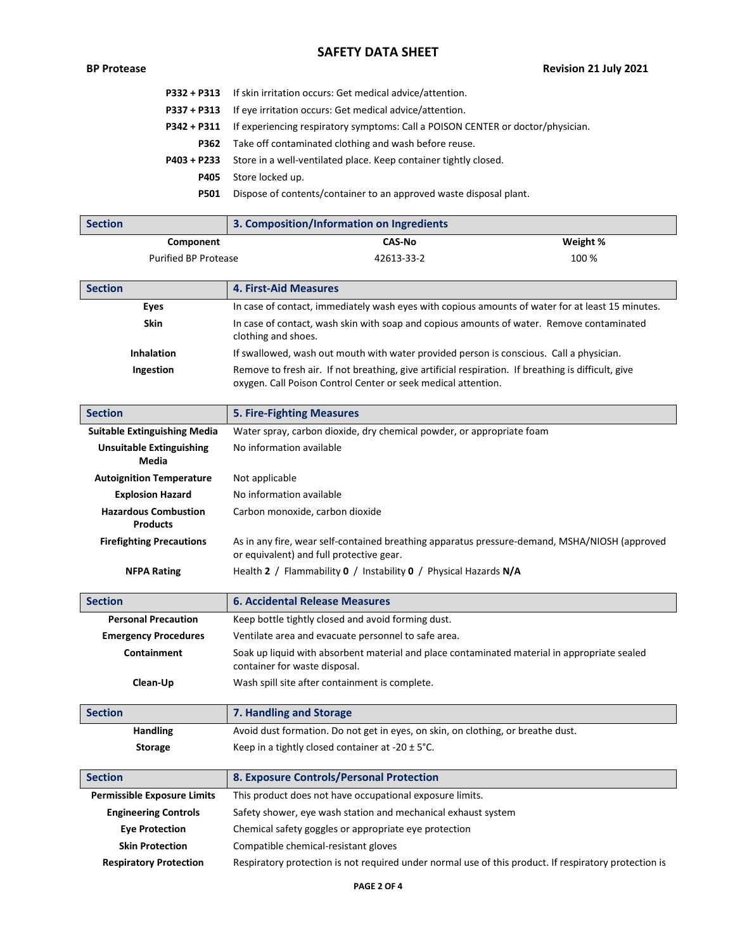## **SAFETY DATA SHEET**

# **BP Protease Revision 21 July 2021**

|             | <b>P332 + P313</b> If skin irritation occurs: Get medical advice/attention.     |
|-------------|---------------------------------------------------------------------------------|
| P337 + P313 | If eye irritation occurs: Get medical advice/attention.                         |
| P342 + P311 | If experiencing respiratory symptoms: Call a POISON CENTER or doctor/physician. |
| P362        | Take off contaminated clothing and wash before reuse.                           |
| P403 + P233 | Store in a well-ventilated place. Keep container tightly closed.                |
| P405        | Store locked up.                                                                |
| <b>P501</b> | Dispose of contents/container to an approved waste disposal plant.              |
|             |                                                                                 |

| <b>Section</b>                                 | 3. Composition/Information on Ingredients                                                                                                                            |          |  |  |  |
|------------------------------------------------|----------------------------------------------------------------------------------------------------------------------------------------------------------------------|----------|--|--|--|
| Component                                      | <b>CAS-No</b>                                                                                                                                                        | Weight % |  |  |  |
| <b>Purified BP Protease</b>                    | 42613-33-2                                                                                                                                                           | 100 %    |  |  |  |
| <b>Section</b>                                 | <b>4. First-Aid Measures</b>                                                                                                                                         |          |  |  |  |
| Eyes                                           | In case of contact, immediately wash eyes with copious amounts of water for at least 15 minutes.                                                                     |          |  |  |  |
| <b>Skin</b>                                    | In case of contact, wash skin with soap and copious amounts of water. Remove contaminated                                                                            |          |  |  |  |
|                                                | clothing and shoes.                                                                                                                                                  |          |  |  |  |
| <b>Inhalation</b>                              | If swallowed, wash out mouth with water provided person is conscious. Call a physician.                                                                              |          |  |  |  |
| Ingestion                                      | Remove to fresh air. If not breathing, give artificial respiration. If breathing is difficult, give<br>oxygen. Call Poison Control Center or seek medical attention. |          |  |  |  |
| <b>Section</b>                                 | <b>5. Fire-Fighting Measures</b>                                                                                                                                     |          |  |  |  |
| <b>Suitable Extinguishing Media</b>            | Water spray, carbon dioxide, dry chemical powder, or appropriate foam                                                                                                |          |  |  |  |
| <b>Unsuitable Extinguishing</b><br>Media       | No information available                                                                                                                                             |          |  |  |  |
| <b>Autoignition Temperature</b>                | Not applicable                                                                                                                                                       |          |  |  |  |
| <b>Explosion Hazard</b>                        | No information available                                                                                                                                             |          |  |  |  |
| <b>Hazardous Combustion</b><br><b>Products</b> | Carbon monoxide, carbon dioxide                                                                                                                                      |          |  |  |  |
| <b>Firefighting Precautions</b>                | As in any fire, wear self-contained breathing apparatus pressure-demand, MSHA/NIOSH (approved<br>or equivalent) and full protective gear.                            |          |  |  |  |
| <b>NFPA Rating</b>                             | Health 2 / Flammability 0 / Instability 0 / Physical Hazards N/A                                                                                                     |          |  |  |  |
| <b>Section</b>                                 | <b>6. Accidental Release Measures</b>                                                                                                                                |          |  |  |  |
| <b>Personal Precaution</b>                     | Keep bottle tightly closed and avoid forming dust.                                                                                                                   |          |  |  |  |
| <b>Emergency Procedures</b>                    | Ventilate area and evacuate personnel to safe area.                                                                                                                  |          |  |  |  |
| <b>Containment</b>                             | Soak up liquid with absorbent material and place contaminated material in appropriate sealed<br>container for waste disposal.                                        |          |  |  |  |
| Clean-Up                                       | Wash spill site after containment is complete.                                                                                                                       |          |  |  |  |
| <b>Section</b>                                 | 7. Handling and Storage                                                                                                                                              |          |  |  |  |
| <b>Handling</b>                                | Avoid dust formation. Do not get in eyes, on skin, on clothing, or breathe dust.                                                                                     |          |  |  |  |
| <b>Storage</b>                                 | Keep in a tightly closed container at -20 $\pm$ 5°C.                                                                                                                 |          |  |  |  |
| <b>Section</b>                                 | 8. Exposure Controls/Personal Protection                                                                                                                             |          |  |  |  |
| <b>Permissible Exposure Limits</b>             | This product does not have occupational exposure limits.                                                                                                             |          |  |  |  |
| <b>Engineering Controls</b>                    | Safety shower, eye wash station and mechanical exhaust system                                                                                                        |          |  |  |  |
| <b>Eye Protection</b>                          | Chemical safety goggles or appropriate eye protection                                                                                                                |          |  |  |  |
| <b>Skin Protection</b>                         | Compatible chemical-resistant gloves                                                                                                                                 |          |  |  |  |
| <b>Respiratory Protection</b>                  | Respiratory protection is not required under normal use of this product. If respiratory protection is                                                                |          |  |  |  |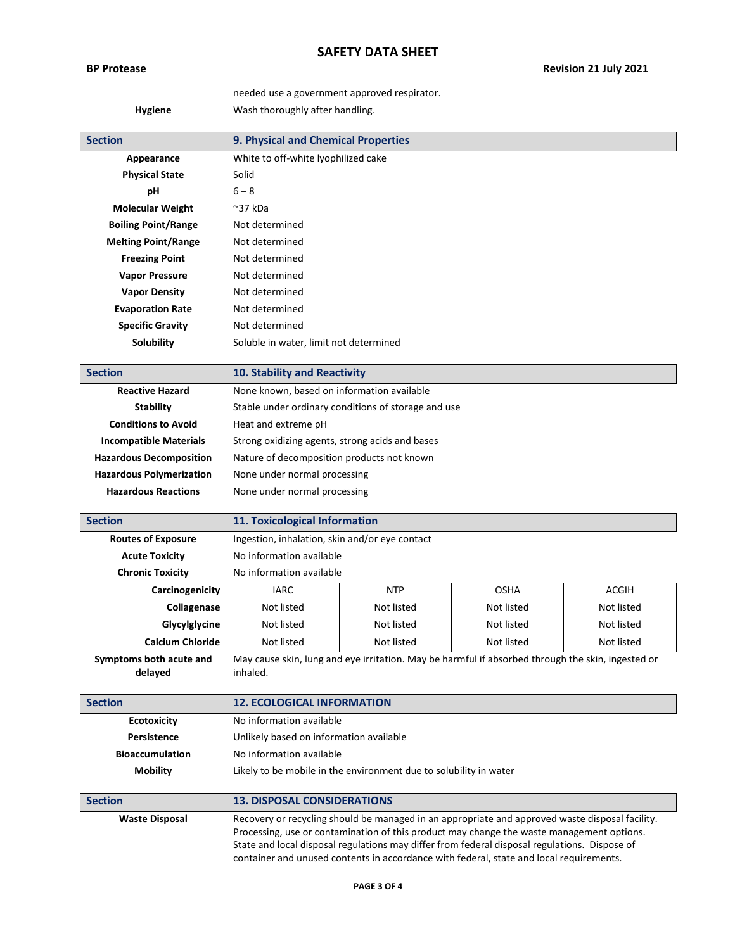## **SAFETY DATA SHEET**

## needed use a government approved respirator. **Hygiene** Wash thoroughly after handling.

| <b>Section</b>                  | 9. Physical and Chemical Properties                 |  |  |  |
|---------------------------------|-----------------------------------------------------|--|--|--|
| Appearance                      | White to off-white lyophilized cake                 |  |  |  |
| <b>Physical State</b>           | Solid                                               |  |  |  |
| рH                              | $6 - 8$                                             |  |  |  |
| <b>Molecular Weight</b>         | $~^{\sim}$ 37 kDa                                   |  |  |  |
| <b>Boiling Point/Range</b>      | Not determined                                      |  |  |  |
| <b>Melting Point/Range</b>      | Not determined                                      |  |  |  |
| <b>Freezing Point</b>           | Not determined                                      |  |  |  |
| <b>Vapor Pressure</b>           | Not determined                                      |  |  |  |
| <b>Vapor Density</b>            | Not determined                                      |  |  |  |
| <b>Evaporation Rate</b>         | Not determined                                      |  |  |  |
| <b>Specific Gravity</b>         | Not determined                                      |  |  |  |
| <b>Solubility</b>               | Soluble in water, limit not determined              |  |  |  |
|                                 |                                                     |  |  |  |
| <b>Section</b>                  | 10. Stability and Reactivity                        |  |  |  |
| <b>Reactive Hazard</b>          | None known, based on information available          |  |  |  |
| <b>Stability</b>                | Stable under ordinary conditions of storage and use |  |  |  |
| <b>Conditions to Avoid</b>      | Heat and extreme pH                                 |  |  |  |
| <b>Incompatible Materials</b>   | Strong oxidizing agents, strong acids and bases     |  |  |  |
| <b>Hazardous Decomposition</b>  | Nature of decomposition products not known          |  |  |  |
| <b>Hazardous Polymerization</b> | None under normal processing                        |  |  |  |

**Hazardous Reactions** None under normal processing

| <b>Section</b>                     | 11. Toxicological Information                  |            |                                                                                                   |              |
|------------------------------------|------------------------------------------------|------------|---------------------------------------------------------------------------------------------------|--------------|
| <b>Routes of Exposure</b>          | Ingestion, inhalation, skin and/or eye contact |            |                                                                                                   |              |
| <b>Acute Toxicity</b>              | No information available                       |            |                                                                                                   |              |
| <b>Chronic Toxicity</b>            | No information available                       |            |                                                                                                   |              |
| Carcinogenicity                    | <b>IARC</b>                                    | <b>NTP</b> | <b>OSHA</b>                                                                                       | <b>ACGIH</b> |
| Collagenase                        | Not listed                                     | Not listed | Not listed                                                                                        | Not listed   |
| Glycylglycine                      | Not listed                                     | Not listed | Not listed                                                                                        | Not listed   |
| <b>Calcium Chloride</b>            | Not listed                                     | Not listed | Not listed                                                                                        | Not listed   |
| Symptoms both acute and<br>delayed | inhaled.                                       |            | May cause skin, lung and eye irritation. May be harmful if absorbed through the skin, ingested or |              |

| <b>Section</b>         | <b>12. ECOLOGICAL INFORMATION</b>                                 |
|------------------------|-------------------------------------------------------------------|
| <b>Ecotoxicity</b>     | No information available                                          |
| Persistence            | Unlikely based on information available                           |
| <b>Bioaccumulation</b> | No information available                                          |
| <b>Mobility</b>        | Likely to be mobile in the environment due to solubility in water |

| <b>Section</b>        | <b>13. DISPOSAL CONSIDERATIONS</b>                                                              |
|-----------------------|-------------------------------------------------------------------------------------------------|
| <b>Waste Disposal</b> | Recovery or recycling should be managed in an appropriate and approved waste disposal facility. |
|                       | Processing, use or contamination of this product may change the waste management options.       |
|                       | State and local disposal regulations may differ from federal disposal regulations. Dispose of   |
|                       | container and unused contents in accordance with federal, state and local requirements.         |